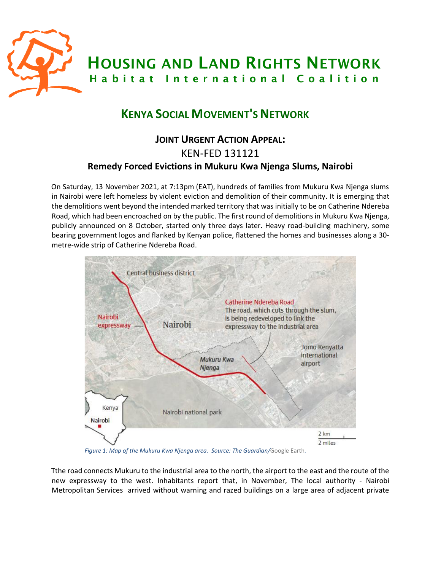

# **KENYA SOCIAL MOVEMENT'S NETWORK**

# **JOINT URGENT ACTION APPEAL:**  KEN-FED 131121 **Remedy Forced Evictions in Mukuru Kwa Njenga Slums, Nairobi**

On Saturday, 13 November 2021, at 7:13pm (EAT), hundreds of families from Mukuru Kwa Njenga slums in Nairobi were left homeless by violent eviction and demolition of their community. It is emerging that the demolitions went beyond the intended marked territory that was initially to be on Catherine Ndereba Road, which had been encroached on by the public. The first round of demolitions in Mukuru Kwa Njenga, publicly announced on 8 October, started only three days later. Heavy road-building machinery, some bearing government logos and flanked by Kenyan police, flattened the homes and businesses along a 30 metre-wide strip of Catherine Ndereba Road.



*Figure 1: Map of the Mukuru Kwa Njenga area. Source: The Guardian/*Google Earth*.*

Tthe road connects Mukuru to the industrial area to the north, the airport to the east and the route of the new expressway to the west. Inhabitants report that, in November, The local authority - Nairobi Metropolitan Services arrived without warning and razed buildings on a large area of adjacent private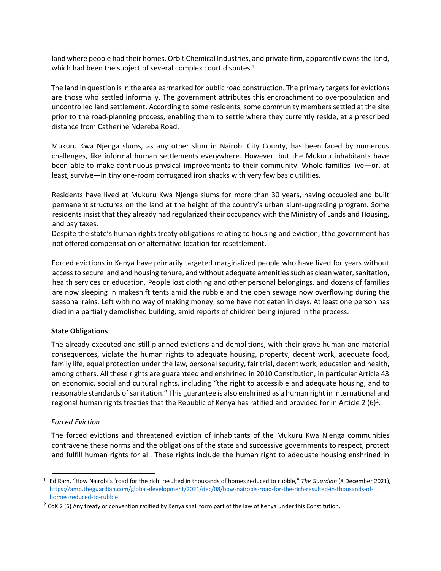land where people had their homes. Orbit Chemical Industries, and private firm, apparently owns the land, which had been the subject of several complex court disputes.<sup>1</sup>

The land in question is in the area earmarked for public road construction. The primary targetsfor evictions are those who settled informally. The government attributes this encroachment to overpopulation and uncontrolled land settlement. According to some residents, some community members settled at the site prior to the road-planning process, enabling them to settle where they currently reside, at a prescribed distance from Catherine Ndereba Road.

Mukuru Kwa Njenga slums, as any other slum in Nairobi City County, has been faced by numerous challenges, like informal human settlements everywhere. However, but the Mukuru inhabitants have been able to make continuous physical improvements to their community. Whole families live—or, at least, survive—in tiny one-room corrugated iron shacks with very few basic utilities.

Residents have lived at Mukuru Kwa Njenga slums for more than 30 years, having occupied and built permanent structures on the land at the height of the country's urban slum-upgrading program. Some residents insist that they already had regularized their occupancy with the Ministry of Lands and Housing, and pay taxes.

Despite the state's human rights treaty obligations relating to housing and eviction, tthe government has not offered compensation or alternative location for resettlement.

Forced evictions in Kenya have primarily targeted marginalized people who have lived for years without access to secure land and housing tenure, and without adequate amenities such as clean water, sanitation, health services or education. People lost clothing and other personal belongings, and dozens of families are now sleeping in makeshift tents amid the rubble and the open sewage now overflowing during the seasonal rains. Left with no way of making money, some have not eaten in days. At least one person has died in a partially demolished building, amid reports of children being injured in the process.

# **State Obligations**

The already-executed and still-planned evictions and demolitions, with their grave human and material consequences, violate the human rights to adequate housing, property, decent work, adequate food, family life, equal protection under the law, personal security, fair trial, decent work, education and health, among others. All these rights are guaranteed and enshrined in 2010 Constitution, in particular Article 43 on economic, social and cultural rights, including "the right to accessible and adequate housing, and to reasonable standards of sanitation." This guarantee is also enshrined as a human right in international and regional human rights treaties that the Republic of Kenya has ratified and provided for in Article 2 (6)<sup>2</sup>.

## *Forced Eviction*

The forced evictions and threatened eviction of inhabitants of the Mukuru Kwa Njenga communities contravene these norms and the obligations of the state and successive governments to respect, protect and fulfill human rights for all. These rights include the human right to adequate housing enshrined in

<sup>1</sup> Ed Ram, "How Nairobi's 'road for the rich' resulted in thousands of homes reduced to rubble," *The Guardian* (8 December 2021), [https://amp.theguardian.com/global-development/2021/dec/08/how-nairobis-road-for-the-rich-resulted-in-thousands-of](https://amp.theguardian.com/global-development/2021/dec/08/how-nairobis-road-for-the-rich-resulted-in-thousands-of-homes-reduced-to-rubble)[homes-reduced-to-rubble](https://amp.theguardian.com/global-development/2021/dec/08/how-nairobis-road-for-the-rich-resulted-in-thousands-of-homes-reduced-to-rubble)

 $2$  CoK 2 (6) Any treaty or convention ratified by Kenya shall form part of the law of Kenya under this Constitution.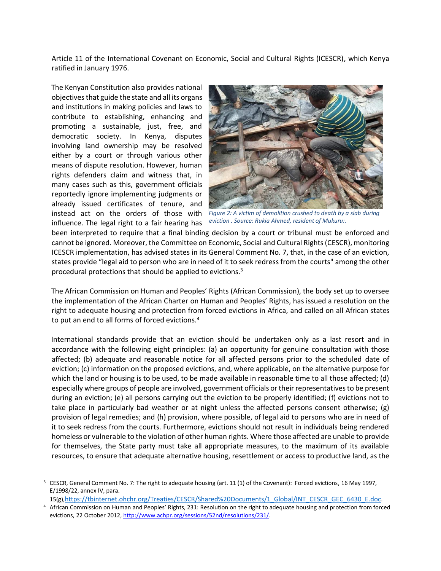Article 11 of the International Covenant on Economic, Social and Cultural Rights (ICESCR), which Kenya ratified in January 1976.

The Kenyan Constitution also provides national objectives that guide the state and all its organs and institutions in making policies and laws to contribute to establishing, enhancing and promoting a sustainable, just, free, and democratic society. In Kenya, disputes involving land ownership may be resolved either by a court or through various other means of dispute resolution. However, human rights defenders claim and witness that, in many cases such as this, government officials reportedly ignore implementing judgments or already issued certificates of tenure, and instead act on the orders of those with influence. The legal right to a fair hearing has



*Figure 2: A victim of demolition crushed to death by a slab during eviction . Source: Rukia Ahmed, resident of Mukuru:.*

been interpreted to require that a final binding decision by a court or tribunal must be enforced and cannot be ignored. Moreover, the Committee on Economic, Social and Cultural Rights (CESCR), monitoring ICESCR implementation, has advised states in its General Comment No. 7, that, in the case of an eviction, states provide "legal aid to person who are in need of it to seek redress from the courts" among the other procedural protections that should be applied to evictions.<sup>3</sup>

The African Commission on Human and Peoples' Rights (African Commission), the body set up to oversee the implementation of the African Charter on Human and Peoples' Rights, has issued a resolution on the right to adequate housing and protection from forced evictions in Africa, and called on all African states to put an end to all forms of forced evictions.<sup>4</sup>

International standards provide that an eviction should be undertaken only as a last resort and in accordance with the following eight principles: (a) an opportunity for genuine consultation with those affected; (b) adequate and reasonable notice for all affected persons prior to the scheduled date of eviction; (c) information on the proposed evictions, and, where applicable, on the alternative purpose for which the land or housing is to be used, to be made available in reasonable time to all those affected; (d) especially where groups of people are involved, government officials or their representatives to be present during an eviction; (e) all persons carrying out the eviction to be properly identified; (f) evictions not to take place in particularly bad weather or at night unless the affected persons consent otherwise; (g) provision of legal remedies; and (h) provision, where possible, of legal aid to persons who are in need of it to seek redress from the courts. Furthermore, evictions should not result in individuals being rendered homeless or vulnerable to the violation of other human rights. Where those affected are unable to provide for themselves, the State party must take all appropriate measures, to the maximum of its available resources, to ensure that adequate alternative housing, resettlement or access to productive land, as the

<sup>&</sup>lt;sup>3</sup> CESCR, General Comment No. 7: The right to adequate housing (art. 11 (1) of the Covenant): Forced evictions, 16 May 1997, E/1998/22, annex IV, para.

<sup>15(</sup>g),[https://tbinternet.ohchr.org/Treaties/CESCR/Shared%20Documents/1\\_Global/INT\\_CESCR\\_GEC\\_6430\\_E.doc](https://tbinternet.ohchr.org/Treaties/CESCR/Shared%20Documents/1_Global/INT_CESCR_GEC_6430_E.doc).

<sup>4</sup> African Commission on Human and Peoples' Rights, 231: Resolution on the right to adequate housing and protection from forced evictions, 22 October 2012, http://www.achpr.org/sessions/52nd/resolutions/231/.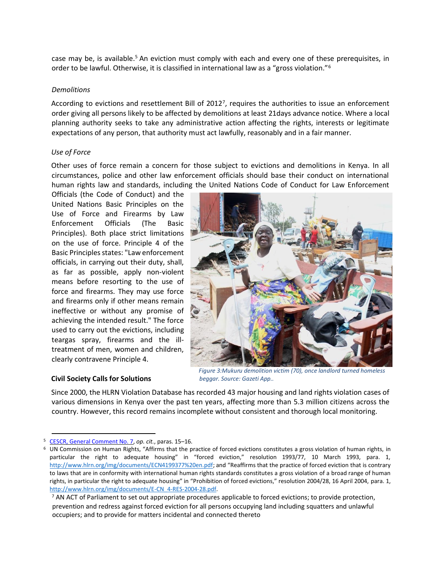case may be, is available.<sup>5</sup> An eviction must comply with each and every one of these prerequisites, in order to be lawful. Otherwise, it is classified in international law as a "gross violation."<sup>6</sup>

#### *Demolitions*

According to evictions and resettlement Bill of 2012<sup>7</sup>, requires the authorities to issue an enforcement order giving all persons likely to be affected by demolitions at least 21days advance notice. Where a local planning authority seeks to take any administrative action affecting the rights, interests or legitimate expectations of any person, that authority must act lawfully, reasonably and in a fair manner.

## *Use of Force*

Other uses of force remain a concern for those subject to evictions and demolitions in Kenya. In all circumstances, police and other law enforcement officials should base their conduct on international human rights law and standards, including the United Nations Code of Conduct for Law Enforcement

Officials (the Code of Conduct) and the United Nations Basic Principles on the Use of Force and Firearms by Law Enforcement Officials (The Basic Principles). Both place strict limitations on the use of force. Principle 4 of the Basic Principles states: "Law enforcement officials, in carrying out their duty, shall, as far as possible, apply non-violent means before resorting to the use of force and firearms. They may use force and firearms only if other means remain ineffective or without any promise of achieving the intended result." The force used to carry out the evictions, including teargas spray, firearms and the illtreatment of men, women and children, clearly contravene Principle 4.



#### **Civil Society Calls for Solutions**

*Figure 3:Mukuru demolition victim (70), once landlord turned homeless beggar. Source: Gazeti App..*

Since 2000, the HLRN Violation Database has recorded 43 major housing and land rights violation cases of various dimensions in Kenya over the past ten years, affecting more than 5.3 million citizens across the country. However, this record remains incomplete without consistent and thorough local monitoring.

<sup>5</sup> CESCR, General Comment No. 7, *op. cit.*, paras. 15–16.

 $6$  UN Commission on Human Rights, "Affirms that the practice of forced evictions constitutes a gross violation of human rights, in particular the right to adequate housing" in "forced eviction," resolution 1993/77, 10 March 1993, para. 1, <http://www.hlrn.org/img/documents/ECN4199377%20en.pdf>; and "Reaffirms that the practice of forced eviction that is contrary to laws that are in conformity with international human rights standards constitutes a gross violation of a broad range of human rights, in particular the right to adequate housing" in "Prohibition of forced evictions," resolution 2004/28, 16 April 2004, para. 1, [http://www.hlrn.org/img/documents/E-CN\\_4-RES-2004-28.pdf.](http://www.hlrn.org/img/documents/E-CN_4-RES-2004-28.pdf)

<sup>&</sup>lt;sup>7</sup> AN ACT of Parliament to set out appropriate procedures applicable to forced evictions; to provide protection, prevention and redress against forced eviction for all persons occupying land including squatters and unlawful occupiers; and to provide for matters incidental and connected thereto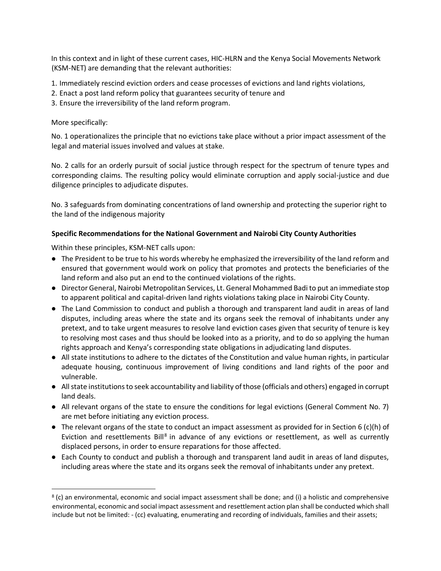In this context and in light of these current cases, HIC-HLRN and the Kenya Social Movements Network (KSM-NET) are demanding that the relevant authorities:

- 1. Immediately rescind eviction orders and cease processes of evictions and land rights violations,
- 2. Enact a post land reform policy that guarantees security of tenure and
- 3. Ensure the irreversibility of the land reform program.

More specifically:

No. 1 operationalizes the principle that no evictions take place without a prior impact assessment of the legal and material issues involved and values at stake.

No. 2 calls for an orderly pursuit of social justice through respect for the spectrum of tenure types and corresponding claims. The resulting policy would eliminate corruption and apply social-justice and due diligence principles to adjudicate disputes.

No. 3 safeguards from dominating concentrations of land ownership and protecting the superior right to the land of the indigenous majority

# **Specific Recommendations for the National Government and Nairobi City County Authorities**

Within these principles, KSM-NET calls upon:

- The President to be true to his words whereby he emphasized the irreversibility of the land reform and ensured that government would work on policy that promotes and protects the beneficiaries of the land reform and also put an end to the continued violations of the rights.
- Director General, Nairobi Metropolitan Services, Lt. General Mohammed Badi to put an immediate stop to apparent political and capital-driven land rights violations taking place in Nairobi City County.
- The Land Commission to conduct and publish a thorough and transparent land audit in areas of land disputes, including areas where the state and its organs seek the removal of inhabitants under any pretext, and to take urgent measures to resolve land eviction cases given that security of tenure is key to resolving most cases and thus should be looked into as a priority, and to do so applying the human rights approach and Kenya's corresponding state obligations in adjudicating land disputes.
- All state institutions to adhere to the dictates of the Constitution and value human rights, in particular adequate housing, continuous improvement of living conditions and land rights of the poor and vulnerable.
- All state institutions to seek accountability and liability of those (officials and others) engaged in corrupt land deals.
- All relevant organs of the state to ensure the conditions for legal evictions (General Comment No. 7) are met before initiating any eviction process.
- The relevant organs of the state to conduct an impact assessment as provided for in Section 6 (c)(h) of Eviction and resettlements Bill<sup>8</sup> in advance of any evictions or resettlement, as well as currently displaced persons, in order to ensure reparations for those affected.
- Each County to conduct and publish a thorough and transparent land audit in areas of land disputes, including areas where the state and its organs seek the removal of inhabitants under any pretext.

<sup>8</sup> (c) an environmental, economic and social impact assessment shall be done; and (i) a holistic and comprehensive environmental, economic and social impact assessment and resettlement action plan shall be conducted which shall include but not be limited: - (cc) evaluating, enumerating and recording of individuals, families and their assets;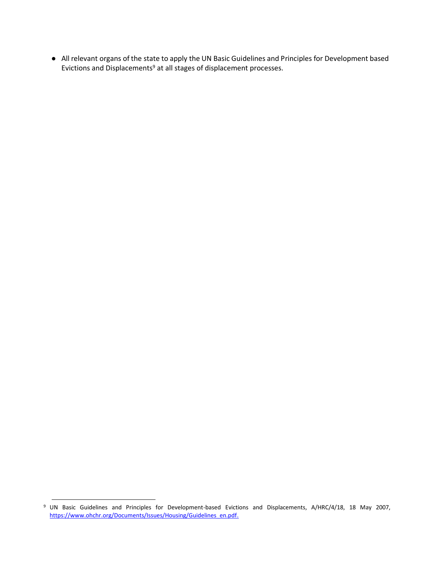● All relevant organs of the state to apply the UN Basic Guidelines and Principles for Development based Evictions and Displacements<sup>9</sup> at all stages of displacement processes.

<sup>&</sup>lt;sup>9</sup> UN Basic Guidelines and Principles for Development-based Evictions and Displacements, A/HRC/4/18, 18 May 2007, [https://www.ohchr.org/Documents/Issues/Housing/Guidelines\\_en.pdf.](https://www.ohchr.org/Documents/Issues/Housing/Guidelines_en.pdf)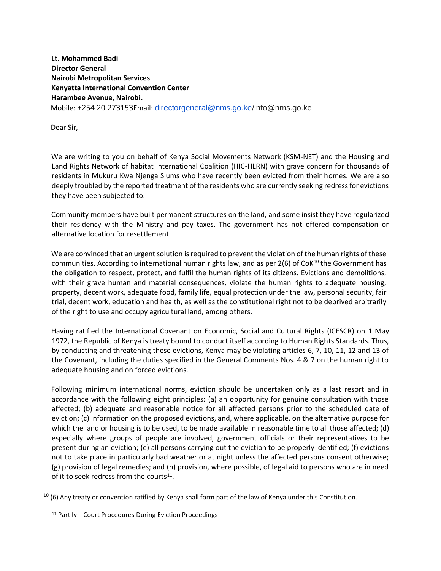**Lt. Mohammed Badi Director General Nairobi Metropolitan Services Kenyatta International Convention Center Harambee Avenue, Nairobi.** Mobile: +254 20 273153Email: [directorgeneral@nms.go.ke/](mailto:directorgeneral@nms.go.ke)info@nms.go.ke

Dear Sir,

We are writing to you on behalf of Kenya Social Movements Network (KSM-NET) and the Housing and Land Rights Network of habitat International Coalition (HIC-HLRN) with grave concern for thousands of residents in Mukuru Kwa Njenga Slums who have recently been evicted from their homes. We are also deeply troubled by the reported treatment of the residents who are currently seeking redress for evictions they have been subjected to.

Community members have built permanent structures on the land, and some insist they have regularized their residency with the Ministry and pay taxes. The government has not offered compensation or alternative location for resettlement.

We are convinced that an urgent solution is required to prevent the violation of the human rights of these communities. According to international human rights law, and as per  $2(6)$  of CoK<sup>10</sup> the Government has the obligation to respect, protect, and fulfil the human rights of its citizens. Evictions and demolitions, with their grave human and material consequences, violate the human rights to adequate housing, property, decent work, adequate food, family life, equal protection under the law, personal security, fair trial, decent work, education and health, as well as the constitutional right not to be deprived arbitrarily of the right to use and occupy agricultural land, among others.

Having ratified the International Covenant on Economic, Social and Cultural Rights (ICESCR) on 1 May 1972, the Republic of Kenya is treaty bound to conduct itself according to Human Rights Standards. Thus, by conducting and threatening these evictions, Kenya may be violating articles 6, 7, 10, 11, 12 and 13 of the Covenant, including the duties specified in the General Comments Nos. 4 & 7 on the human right to adequate housing and on forced evictions.

Following minimum international norms, eviction should be undertaken only as a last resort and in accordance with the following eight principles: (a) an opportunity for genuine consultation with those affected; (b) adequate and reasonable notice for all affected persons prior to the scheduled date of eviction; (c) information on the proposed evictions, and, where applicable, on the alternative purpose for which the land or housing is to be used, to be made available in reasonable time to all those affected; (d) especially where groups of people are involved, government officials or their representatives to be present during an eviction; (e) all persons carrying out the eviction to be properly identified; (f) evictions not to take place in particularly bad weather or at night unless the affected persons consent otherwise; (g) provision of legal remedies; and (h) provision, where possible, of legal aid to persons who are in need of it to seek redress from the courts $^{11}$ .

 $10$  (6) Any treaty or convention ratified by Kenya shall form part of the law of Kenya under this Constitution.

<sup>11</sup> Part Iv—Court Procedures During Eviction Proceedings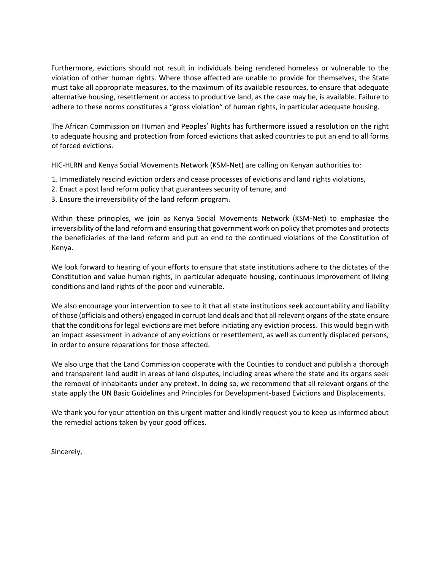Furthermore, evictions should not result in individuals being rendered homeless or vulnerable to the violation of other human rights. Where those affected are unable to provide for themselves, the State must take all appropriate measures, to the maximum of its available resources, to ensure that adequate alternative housing, resettlement or access to productive land, as the case may be, is available. Failure to adhere to these norms constitutes a "gross violation" of human rights, in particular adequate housing.

The African Commission on Human and Peoples' Rights has furthermore issued a resolution on the right to adequate housing and protection from forced evictions that asked countries to put an end to all forms of forced evictions.

HIC-HLRN and Kenya Social Movements Network (KSM-Net) are calling on Kenyan authorities to:

- 1. Immediately rescind eviction orders and cease processes of evictions and land rights violations,
- 2. Enact a post land reform policy that guarantees security of tenure, and
- 3. Ensure the irreversibility of the land reform program.

Within these principles, we join as Kenya Social Movements Network (KSM-Net) to emphasize the irreversibility of the land reform and ensuring that government work on policy that promotes and protects the beneficiaries of the land reform and put an end to the continued violations of the Constitution of Kenya.

We look forward to hearing of your efforts to ensure that state institutions adhere to the dictates of the Constitution and value human rights, in particular adequate housing, continuous improvement of living conditions and land rights of the poor and vulnerable.

We also encourage your intervention to see to it that all state institutions seek accountability and liability of those (officials and others) engaged in corrupt land deals and that all relevant organs of the state ensure that the conditions for legal evictions are met before initiating any eviction process. This would begin with an impact assessment in advance of any evictions or resettlement, as well as currently displaced persons, in order to ensure reparations for those affected.

We also urge that the Land Commission cooperate with the Counties to conduct and publish a thorough and transparent land audit in areas of land disputes, including areas where the state and its organs seek the removal of inhabitants under any pretext. In doing so, we recommend that all relevant organs of the state apply the [UN Basic Guidelines and Principles for Development-based Evictions and Displacements.](https://www.ohchr.org/Documents/Issues/Housing/Guidelines_en.pdf)

We thank you for your attention on this urgent matter and kindly request you to keep us informed about the remedial actions taken by your good offices.

Sincerely,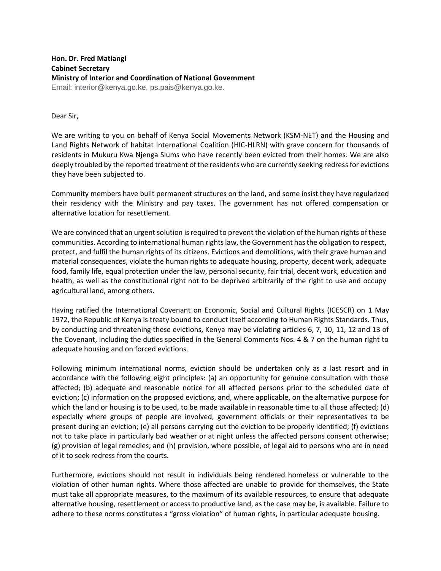**Hon. Dr. Fred Matiangi Cabinet Secretary Ministry of Interior and Coordination of National Government**  Email: interior@kenya.go.ke, ps.pais@kenya.go.ke.

Dear Sir,

We are writing to you on behalf of Kenya Social Movements Network (KSM-NET) and the Housing and Land Rights Network of habitat International Coalition (HIC-HLRN) with grave concern for thousands of residents in Mukuru Kwa Njenga Slums who have recently been evicted from their homes. We are also deeply troubled by the reported treatment of the residents who are currently seeking redress for evictions they have been subjected to.

Community members have built permanent structures on the land, and some insist they have regularized their residency with the Ministry and pay taxes. The government has not offered compensation or alternative location for resettlement.

We are convinced that an urgent solution is required to prevent the violation of the human rights of these communities. According to international human rights law, the Government has the obligation to respect, protect, and fulfil the human rights of its citizens. Evictions and demolitions, with their grave human and material consequences, violate the human rights to adequate housing, property, decent work, adequate food, family life, equal protection under the law, personal security, fair trial, decent work, education and health, as well as the constitutional right not to be deprived arbitrarily of the right to use and occupy agricultural land, among others.

Having ratified the International Covenant on Economic, Social and Cultural Rights (ICESCR) on 1 May 1972, the Republic of Kenya is treaty bound to conduct itself according to Human Rights Standards. Thus, by conducting and threatening these evictions, Kenya may be violating articles 6, 7, 10, 11, 12 and 13 of the Covenant, including the duties specified in the General Comments Nos. 4 & 7 on the human right to adequate housing and on forced evictions.

Following minimum international norms, eviction should be undertaken only as a last resort and in accordance with the following eight principles: (a) an opportunity for genuine consultation with those affected; (b) adequate and reasonable notice for all affected persons prior to the scheduled date of eviction; (c) information on the proposed evictions, and, where applicable, on the alternative purpose for which the land or housing is to be used, to be made available in reasonable time to all those affected; (d) especially where groups of people are involved, government officials or their representatives to be present during an eviction; (e) all persons carrying out the eviction to be properly identified; (f) evictions not to take place in particularly bad weather or at night unless the affected persons consent otherwise; (g) provision of legal remedies; and (h) provision, where possible, of legal aid to persons who are in need of it to seek redress from the courts.

Furthermore, evictions should not result in individuals being rendered homeless or vulnerable to the violation of other human rights. Where those affected are unable to provide for themselves, the State must take all appropriate measures, to the maximum of its available resources, to ensure that adequate alternative housing, resettlement or access to productive land, as the case may be, is available. Failure to adhere to these norms constitutes a "gross violation" of human rights, in particular adequate housing.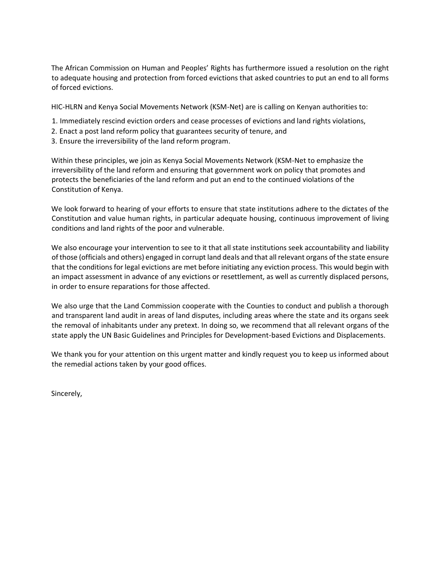The African Commission on Human and Peoples' Rights has furthermore issued a resolution on the right to adequate housing and protection from forced evictions that asked countries to put an end to all forms of forced evictions.

HIC-HLRN and Kenya Social Movements Network (KSM-Net) are is calling on Kenyan authorities to:

- 1. Immediately rescind eviction orders and cease processes of evictions and land rights violations,
- 2. Enact a post land reform policy that guarantees security of tenure, and
- 3. Ensure the irreversibility of the land reform program.

Within these principles, we join as Kenya Social Movements Network (KSM-Net to emphasize the irreversibility of the land reform and ensuring that government work on policy that promotes and protects the beneficiaries of the land reform and put an end to the continued violations of the Constitution of Kenya.

We look forward to hearing of your efforts to ensure that state institutions adhere to the dictates of the Constitution and value human rights, in particular adequate housing, continuous improvement of living conditions and land rights of the poor and vulnerable.

We also encourage your intervention to see to it that all state institutions seek accountability and liability of those (officials and others) engaged in corrupt land deals and that all relevant organs of the state ensure that the conditions for legal evictions are met before initiating any eviction process. This would begin with an impact assessment in advance of any evictions or resettlement, as well as currently displaced persons, in order to ensure reparations for those affected.

We also urge that the Land Commission cooperate with the Counties to conduct and publish a thorough and transparent land audit in areas of land disputes, including areas where the state and its organs seek the removal of inhabitants under any pretext. In doing so, we recommend that all relevant organs of the state apply the [UN Basic Guidelines and Principles for Development-based Evictions and Displacements.](https://www.ohchr.org/Documents/Issues/Housing/Guidelines_en.pdf)

We thank you for your attention on this urgent matter and kindly request you to keep us informed about the remedial actions taken by your good offices.

Sincerely,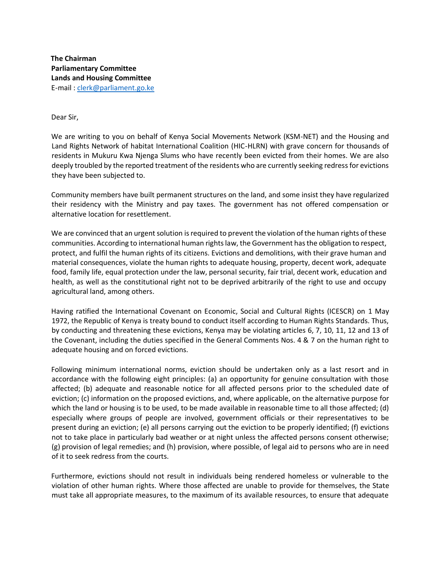**The Chairman Parliamentary Committee Lands and Housing Committee**  E-mail : [clerk@parliament.go.ke](mailto:clerk@parliament.go.ke)

Dear Sir,

We are writing to you on behalf of Kenya Social Movements Network (KSM-NET) and the Housing and Land Rights Network of habitat International Coalition (HIC-HLRN) with grave concern for thousands of residents in Mukuru Kwa Njenga Slums who have recently been evicted from their homes. We are also deeply troubled by the reported treatment of the residents who are currently seeking redress for evictions they have been subjected to.

Community members have built permanent structures on the land, and some insist they have regularized their residency with the Ministry and pay taxes. The government has not offered compensation or alternative location for resettlement.

We are convinced that an urgent solution is required to prevent the violation of the human rights of these communities. According to international human rights law, the Government has the obligation to respect, protect, and fulfil the human rights of its citizens. Evictions and demolitions, with their grave human and material consequences, violate the human rights to adequate housing, property, decent work, adequate food, family life, equal protection under the law, personal security, fair trial, decent work, education and health, as well as the constitutional right not to be deprived arbitrarily of the right to use and occupy agricultural land, among others.

Having ratified the International Covenant on Economic, Social and Cultural Rights (ICESCR) on 1 May 1972, the Republic of Kenya is treaty bound to conduct itself according to Human Rights Standards. Thus, by conducting and threatening these evictions, Kenya may be violating articles 6, 7, 10, 11, 12 and 13 of the Covenant, including the duties specified in the General Comments Nos. 4 & 7 on the human right to adequate housing and on forced evictions.

Following minimum international norms, eviction should be undertaken only as a last resort and in accordance with the following eight principles: (a) an opportunity for genuine consultation with those affected; (b) adequate and reasonable notice for all affected persons prior to the scheduled date of eviction; (c) information on the proposed evictions, and, where applicable, on the alternative purpose for which the land or housing is to be used, to be made available in reasonable time to all those affected; (d) especially where groups of people are involved, government officials or their representatives to be present during an eviction; (e) all persons carrying out the eviction to be properly identified; (f) evictions not to take place in particularly bad weather or at night unless the affected persons consent otherwise; (g) provision of legal remedies; and (h) provision, where possible, of legal aid to persons who are in need of it to seek redress from the courts.

Furthermore, evictions should not result in individuals being rendered homeless or vulnerable to the violation of other human rights. Where those affected are unable to provide for themselves, the State must take all appropriate measures, to the maximum of its available resources, to ensure that adequate